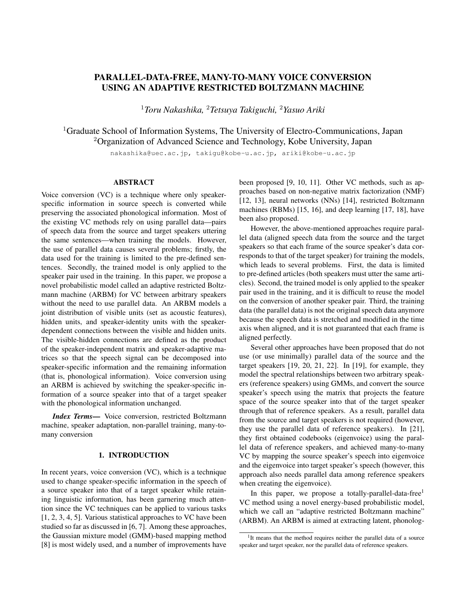# PARALLEL-DATA-FREE, MANY-TO-MANY VOICE CONVERSION USING AN ADAPTIVE RESTRICTED BOLTZMANN MACHINE

<sup>1</sup>*Toru Nakashika,* <sup>2</sup>*Tetsuya Takiguchi,* <sup>2</sup>*Yasuo Ariki*

<sup>1</sup>Graduate School of Information Systems, The University of Electro-Communications, Japan <sup>2</sup>Organization of Advanced Science and Technology, Kobe University, Japan

nakashika@uec.ac.jp, takigu@kobe-u.ac.jp, ariki@kobe-u.ac.jp

#### ABSTRACT

Voice conversion (VC) is a technique where only speakerspecific information in source speech is converted while preserving the associated phonological information. Most of the existing VC methods rely on using parallel data—pairs of speech data from the source and target speakers uttering the same sentences—when training the models. However, the use of parallel data causes several problems; firstly, the data used for the training is limited to the pre-defined sentences. Secondly, the trained model is only applied to the speaker pair used in the training. In this paper, we propose a novel probabilistic model called an adaptive restricted Boltzmann machine (ARBM) for VC between arbitrary speakers without the need to use parallel data. An ARBM models a joint distribution of visible units (set as acoustic features), hidden units, and speaker-identity units with the speakerdependent connections between the visible and hidden units. The visible-hidden connections are defined as the product of the speaker-independent matrix and speaker-adaptive matrices so that the speech signal can be decomposed into speaker-specific information and the remaining information (that is, phonological information). Voice conversion using an ARBM is achieved by switching the speaker-specific information of a source speaker into that of a target speaker with the phonological information unchanged.

*Index Terms*— Voice conversion, restricted Boltzmann machine, speaker adaptation, non-parallel training, many-tomany conversion

# 1. INTRODUCTION

In recent years, voice conversion  $(VC)$ , which is a technique used to change speaker-specific information in the speech of a source speaker into that of a target speaker while retaining linguistic information, has been garnering much attention since the VC techniques can be applied to various tasks [1, 2, 3, 4, 5]. Various statistical approaches to VC have been studied so far as discussed in [6, 7]. Among these approaches, the Gaussian mixture model (GMM)-based mapping method [8] is most widely used, and a number of improvements have been proposed [9, 10, 11]. Other VC methods, such as approaches based on non-negative matrix factorization (NMF) [12, 13], neural networks (NNs) [14], restricted Boltzmann machines (RBMs) [15, 16], and deep learning [17, 18], have been also proposed.

However, the above-mentioned approaches require parallel data (aligned speech data from the source and the target speakers so that each frame of the source speaker's data corresponds to that of the target speaker) for training the models, which leads to several problems. First, the data is limited to pre-defined articles (both speakers must utter the same articles). Second, the trained model is only applied to the speaker pair used in the training, and it is difficult to reuse the model on the conversion of another speaker pair. Third, the training data (the parallel data) is not the original speech data anymore because the speech data is stretched and modified in the time axis when aligned, and it is not guaranteed that each frame is aligned perfectly.

Several other approaches have been proposed that do not use (or use minimally) parallel data of the source and the target speakers [19, 20, 21, 22]. In [19], for example, they model the spectral relationships between two arbitrary speakers (reference speakers) using GMMs, and convert the source speaker's speech using the matrix that projects the feature space of the source speaker into that of the target speaker through that of reference speakers. As a result, parallel data from the source and target speakers is not required (however, they use the parallel data of reference speakers). In [21], they first obtained codebooks (eigenvoice) using the parallel data of reference speakers, and achieved many-to-many VC by mapping the source speaker's speech into eigenvoice and the eigenvoice into target speaker's speech (however, this approach also needs parallel data among reference speakers when creating the eigenvoice).

In this paper, we propose a totally-parallel-data-free<sup>1</sup> VC method using a novel energy-based probabilistic model, which we call an "adaptive restricted Boltzmann machine" (ARBM). An ARBM is aimed at extracting latent, phonolog-

<sup>&</sup>lt;sup>1</sup>It means that the method requires neither the parallel data of a source speaker and target speaker, nor the parallel data of reference speakers.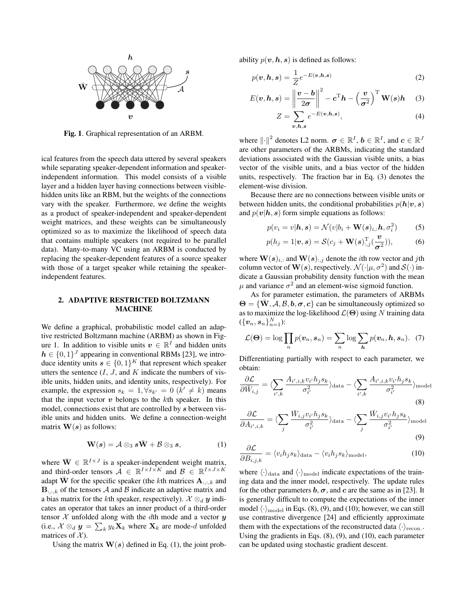

Fig. 1. Graphical representation of an ARBM.

ical features from the speech data uttered by several speakers while separating speaker-dependent information and speakerindependent information. This model consists of a visible layer and a hidden layer having connections between visiblehidden units like an RBM, but the weights of the connections vary with the speaker. Furthermore, we define the weights as a product of speaker-independent and speaker-dependent weight matrices, and these weights can be simultaneously optimized so as to maximize the likelihood of speech data that contains multiple speakers (not required to be parallel data). Many-to-many VC using an ARBM is conducted by replacing the speaker-dependent features of a source speaker with those of a target speaker while retaining the speakerindependent features.

# 2. ADAPTIVE RESTRICTED BOLTZMANN MACHINE

We define a graphical, probabilistic model called an adaptive restricted Boltzmann machine (ARBM) as shown in Figure 1. In addition to visible units  $v \in \mathbb{R}^I$  and hidden units  $h \in \{0, 1\}^J$  appearing in conventional RBMs [23], we introduce identity units  $s \in \{0,1\}^K$  that represent which speaker utters the sentence  $(I, J, \text{ and } K$  indicate the numbers of visible units, hidden units, and identity units, respectively). For example, the expression  $s_k = 1, \forall s_{k'} = 0$  ( $k' \neq k$ ) means that the input vector  $v$  belongs to the  $k$ th speaker. In this model, connections exist that are controlled by s between visible units and hidden units. We define a connection-weight matrix  $W(s)$  as follows:

$$
\mathbf{W}(s) = \mathcal{A} \otimes_3 s\bar{\mathbf{W}} + \mathcal{B} \otimes_3 s,\tag{1}
$$

where  $\overline{W} \in \mathbb{R}^{I \times J}$  is a speaker-independent weight matrix, and third-order tensors  $\mathcal{A} \in \mathbb{R}^{I \times I \times K}$  and  $\mathcal{B} \in \mathbb{R}^{I \times J \times K}$ adapt  $\overline{W}$  for the specific speaker (the kth matrices  $A_{::,k}$  and  $\mathbf{B}_{::,:k}$  of the tensors A and B indicate an adaptive matrix and a bias matrix for the kth speaker, respectively).  $\mathcal{X} \otimes_d \mathbf{y}$  indicates an operator that takes an inner product of a third-order tensor  $X$  unfolded along with the dth mode and a vector  $y$ (i.e.,  $\mathcal{X} \otimes_d \mathbf{y} = \sum_k y_k \mathbf{X}_k$  where  $\mathbf{X}_k$  are mode-*d* unfolded matrices of  $\mathcal{X}$ ).

Using the matrix  $W(s)$  defined in Eq. (1), the joint prob-

ability  $p(\boldsymbol{v}, \boldsymbol{h}, \boldsymbol{s})$  is defined as follows:

$$
p(\boldsymbol{v}, \boldsymbol{h}, \boldsymbol{s}) = \frac{1}{Z} e^{-E(\boldsymbol{v}, \boldsymbol{h}, \boldsymbol{s})}
$$
(2)

$$
E(\boldsymbol{v}, \boldsymbol{h}, \boldsymbol{s}) = \left\| \frac{\boldsymbol{v} - \boldsymbol{b}}{2\sigma} \right\|^2 - \boldsymbol{c}^{\mathrm{T}} \boldsymbol{h} - \left(\frac{\boldsymbol{v}}{\sigma^2}\right)^{\mathrm{T}} \mathbf{W}(\boldsymbol{s}) \boldsymbol{h} \quad (3)
$$

$$
Z = \sum_{v,h,s} e^{-E(v,h,s)},\tag{4}
$$

where  $\left\| \cdot \right\|^2$  denotes L2 norm.  $\boldsymbol{\sigma} \in \mathbb{R}^I$ ,  $\boldsymbol{b} \in \mathbb{R}^I$ , and  $\boldsymbol{c} \in \mathbb{R}^J$ are other parameters of the ARBMs, indicating the standard deviations associated with the Gaussian visible units, a bias vector of the visible units, and a bias vector of the hidden units, respectively. The fraction bar in Eq. (3) denotes the element-wise division.

Because there are no connections between visible units or between hidden units, the conditional probabilities  $p(h|\mathbf{v}, \mathbf{s})$ and  $p(\mathbf{v}|\mathbf{h}, \mathbf{s})$  form simple equations as follows:

$$
p(v_i = v | \mathbf{h}, \mathbf{s}) = \mathcal{N}(v | b_i + \mathbf{W}(\mathbf{s})_{i,:} \mathbf{h}, \sigma_i^2)
$$
 (5)

$$
p(h_j = 1 | \boldsymbol{v}, \boldsymbol{s}) = \mathcal{S}(c_j + \mathbf{W}(\boldsymbol{s})_{:,j}^{\mathrm{T}}(\frac{\boldsymbol{v}}{\sigma^2})),
$$
 (6)

where  $\mathbf{W}(s)_{i,:}$  and  $\mathbf{W}(s)_{i,j}$  denote the *i*th row vector and *j*th column vector of  $\mathbf{W}(s)$ , respectively.  $\mathcal{N}(\cdot | \mu, \sigma^2)$  and  $\mathcal{S}(\cdot)$  indicate a Gaussian probability density function with the mean  $\mu$  and variance  $\sigma^2$  and an element-wise sigmoid function.

As for parameter estimation, the parameters of ARBMs  $\Theta = {\bf W}, A, B, b, \sigma, c$  can be simultaneously optimized so as to maximize the log-likelihood  $\mathcal{L}(\Theta)$  using N training data  $(\{\boldsymbol{v}_n,\boldsymbol{s}_n\}_{n=1}^N)$ :

$$
\mathcal{L}(\mathbf{\Theta}) = \log \prod_{n} p(\mathbf{v}_n, \mathbf{s}_n) = \sum_{n} \log \sum_{\mathbf{h}} p(\mathbf{v}_n, \mathbf{h}, \mathbf{s}_n). \quad (7)
$$

Differentiating partially with respect to each parameter, we obtain:

$$
\frac{\partial \mathcal{L}}{\partial \bar{W}_{i,j}} = \langle \sum_{i',k} \frac{A_{i',i,k} v_{i'} h_j s_k}{\sigma_{i'}^2} \rangle_{\text{data}} - \langle \sum_{i',k} \frac{A_{i',i,k} v_{i'} h_j s_k}{\sigma_{i'}^2} \rangle_{\text{model}}
$$
\n(8)

$$
\frac{\partial \mathcal{L}}{\partial A_{i',i,k}} = \langle \sum_{j} \frac{\bar{W}_{i,j} v_{i'} h_j s_k}{\sigma_{i'}^2} \rangle_{\text{data}} - \langle \sum_{j} \frac{\bar{W}_{i,j} v_{i'} h_j s_k}{\sigma_{i'}^2} \rangle_{\text{model}}
$$
\n(9)

$$
\frac{\partial \mathcal{L}}{\partial B_{i,j,k}} = \langle v_i h_j s_k \rangle_{\text{data}} - \langle v_i h_j s_k \rangle_{\text{model}},\tag{10}
$$

where  $\langle \cdot \rangle_{\text{data}}$  and  $\langle \cdot \rangle_{\text{model}}$  indicate expectations of the training data and the inner model, respectively. The update rules for the other parameters  $b, \sigma$ , and c are the same as in [23]. It is generally difficult to compute the expectations of the inner model  $\langle \cdot \rangle_{\text{model}}$  in Eqs. (8), (9), and (10); however, we can still use contrastive divergence [24] and efficiently approximate them with the expectations of the reconstructed data  $\langle \cdot \rangle_{\text{recon.}}$ . Using the gradients in Eqs. (8), (9), and (10), each parameter can be updated using stochastic gradient descent.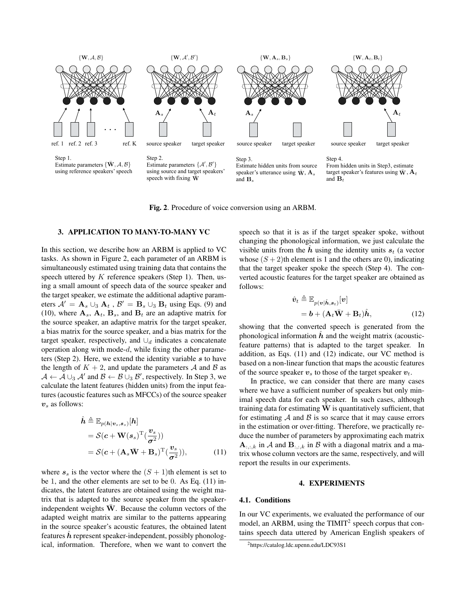

Fig. 2. Procedure of voice conversion using an ARBM.

#### 3. APPLICATION TO MANY-TO-MANY VC

In this section, we describe how an ARBM is applied to VC tasks. As shown in Figure 2, each parameter of an ARBM is simultaneously estimated using training data that contains the speech uttered by  $K$  reference speakers (Step 1). Then, using a small amount of speech data of the source speaker and the target speaker, we estimate the additional adaptive parameters  $A' = \mathbf{A}_s \cup_3 \mathbf{A}_t$ ,  $B' = \mathbf{B}_s \cup_3 \mathbf{B}_t$  using Eqs. (9) and (10), where  $A_s$ ,  $A_t$ ,  $B_s$ , and  $B_t$  are an adaptive matrix for the source speaker, an adaptive matrix for the target speaker, a bias matrix for the source speaker, and a bias matrix for the target speaker, respectively, and  $\cup_d$  indicates a concatenate operation along with mode- $d$ , while fixing the other parameters (Step 2). Here, we extend the identity variable  $s$  to have the length of  $K + 2$ , and update the parameters A and B as  $\mathcal{A} \leftarrow \mathcal{A} \cup_3 \mathcal{A}'$  and  $\mathcal{B} \leftarrow \mathcal{B} \cup_3 \mathcal{B}'$ , respectively. In Step 3, we calculate the latent features (hidden units) from the input features (acoustic features such as MFCCs) of the source speaker  $v_s$  as follows:

$$
\hat{h} \triangleq \mathbb{E}_{p(h|v_s, s_s)}[h]
$$
  
=  $\mathcal{S}(c + \mathbf{W}(s_s)^{\mathrm{T}}(\frac{v_s}{\sigma^2}))$   
=  $\mathcal{S}(c + (\mathbf{A}_s \bar{\mathbf{W}} + \mathbf{B}_s)^{\mathrm{T}}(\frac{v_s}{\sigma^2}))$ , (11)

where  $s_s$  is the vector where the  $(S + 1)$ th element is set to be 1, and the other elements are set to be 0. As Eq. (11) indicates, the latent features are obtained using the weight matrix that is adapted to the source speaker from the speakerindependent weights  $\overline{W}$ . Because the column vectors of the adapted weight matrix are similar to the patterns appearing in the source speaker's acoustic features, the obtained latent features  $h$  represent speaker-independent, possibly phonological, information. Therefore, when we want to convert the speech so that it is as if the target speaker spoke, without changing the phonological information, we just calculate the visible units from the  $\hat{h}$  using the identity units  $s_t$  (a vector whose  $(S + 2)$ th element is 1 and the others are 0), indicating that the target speaker spoke the speech (Step 4). The converted acoustic features for the target speaker are obtained as follows:

$$
\hat{\mathbf{v}}_t \triangleq \mathbb{E}_{p(\mathbf{v}|\hat{\mathbf{h}}, \mathbf{s}_t)}[\mathbf{v}] \n= \mathbf{b} + (\mathbf{A}_t \bar{\mathbf{W}} + \mathbf{B}_t) \hat{\mathbf{h}},
$$
\n(12)

showing that the converted speech is generated from the phonological information  $h$  and the weight matrix (acousticfeature patterns) that is adapted to the target speaker. In addition, as Eqs. (11) and (12) indicate, our VC method is based on a non-linear function that maps the acoustic features of the source speaker  $v_s$  to those of the target speaker  $v_t$ .

In practice, we can consider that there are many cases where we have a sufficient number of speakers but only minimal speech data for each speaker. In such cases, although training data for estimating  $\overline{W}$  is quantitatively sufficient, that for estimating  $A$  and  $B$  is so scarce that it may cause errors in the estimation or over-fitting. Therefore, we practically reduce the number of parameters by approximating each matrix  $\mathbf{A}_{:,:,k}$  in A and  $\mathbf{B}_{:,:,k}$  in B with a diagonal matrix and a matrix whose column vectors are the same, respectively, and will report the results in our experiments.

#### 4. EXPERIMENTS

## 4.1. Conditions

In our VC experiments, we evaluated the performance of our model, an ARBM, using the  $\text{TIMIT}^2$  speech corpus that contains speech data uttered by American English speakers of

<sup>2</sup>https://catalog.ldc.upenn.edu/LDC93S1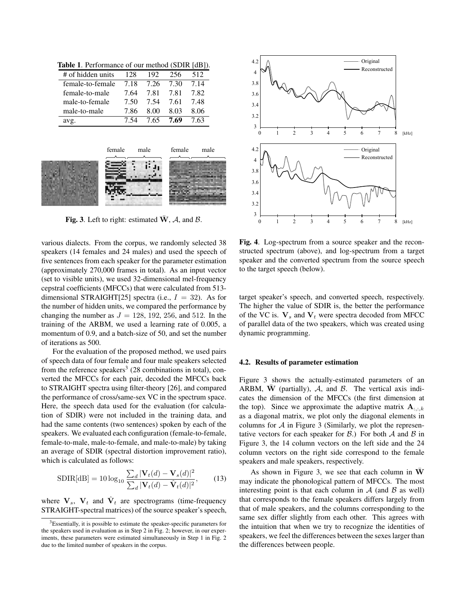# of hidden units 128 192 256 512 female-to-female 7.18 7.26 7.30 7.14 female-to-male 7.64 7.81 7.81 7.82 male-to-female 7.50 7.54 7.61 7.48 male-to-male 7.86 8.00 8.03 8.06 avg. 7.54 7.65 7.69 7.63

Table 1. Performance of our method (SDIR [dB]).



Fig. 3. Left to right: estimated  $\overline{W}$ , A, and B.

various dialects. From the corpus, we randomly selected 38 speakers (14 females and 24 males) and used the speech of five sentences from each speaker for the parameter estimation (approximately 270,000 frames in total). As an input vector (set to visible units), we used 32-dimensional mel-frequency cepstral coefficients (MFCCs) that were calculated from 513 dimensional STRAIGHT[25] spectra (i.e.,  $I = 32$ ). As for the number of hidden units, we compared the performance by changing the number as  $J = 128, 192, 256,$  and 512. In the training of the ARBM, we used a learning rate of 0.005, a momentum of 0.9, and a batch-size of 50, and set the number of iterations as 500.

For the evaluation of the proposed method, we used pairs of speech data of four female and four male speakers selected from the reference speakers<sup>3</sup> (28 combinations in total), converted the MFCCs for each pair, decoded the MFCCs back to STRAIGHT spectra using filter-theory [26], and compared the performance of cross/same-sex VC in the spectrum space. Here, the speech data used for the evaluation (for calculation of SDIR) were not included in the training data, and had the same contents (two sentences) spoken by each of the speakers. We evaluated each configuration (female-to-female, female-to-male, male-to-female, and male-to-male) by taking an average of SDIR (spectral distortion improvement ratio), which is calculated as follows:

$$
\text{SDIR[dB]} = 10 \log_{10} \frac{\sum_{d} |\mathbf{V}_{t}(d) - \mathbf{V}_{s}(d)|^{2}}{\sum_{d} |\mathbf{V}_{t}(d) - \hat{\mathbf{V}}_{t}(d)|^{2}},\qquad(13)
$$

where  $V_s$ ,  $V_t$  and  $\hat{V}_t$  are spectrograms (time-frequency STRAIGHT-spectral matrices) of the source speaker's speech,



Fig. 4. Log-spectrum from a source speaker and the reconstructed spectrum (above), and log-spectrum from a target speaker and the converted spectrum from the source speech to the target speech (below).

target speaker's speech, and converted speech, respectively. The higher the value of SDIR is, the better the performance of the VC is.  $V_s$  and  $V_t$  were spectra decoded from MFCC of parallel data of the two speakers, which was created using dynamic programming.

#### 4.2. Results of parameter estimation

Figure 3 shows the actually-estimated parameters of an ARBM,  $\overline{W}$  (partially), A, and B. The vertical axis indicates the dimension of the MFCCs (the first dimension at the top). Since we approximate the adaptive matrix  $A_{::,:k}$ as a diagonal matrix, we plot only the diagonal elements in columns for  $A$  in Figure 3 (Similarly, we plot the representative vectors for each speaker for  $\beta$ .) For both  $\mathcal A$  and  $\mathcal B$  in Figure 3, the 14 column vectors on the left side and the 24 column vectors on the right side correspond to the female speakers and male speakers, respectively.

As shown in Figure 3, we see that each column in  $\overline{W}$ may indicate the phonological pattern of MFCCs. The most interesting point is that each column in  $A$  (and  $B$  as well) that corresponds to the female speakers differs largely from that of male speakers, and the columns corresponding to the same sex differ slightly from each other. This agrees with the intuition that when we try to recognize the identities of speakers, we feel the differences between the sexes larger than the differences between people.

<sup>&</sup>lt;sup>3</sup>Essentially, it is possible to estimate the speaker-specific parameters for the speakers used in evaluation as in Step 2 in Fig. 2; however, in our experiments, these parameters were estimated simultaneously in Step 1 in Fig. 2 due to the limited number of speakers in the corpus.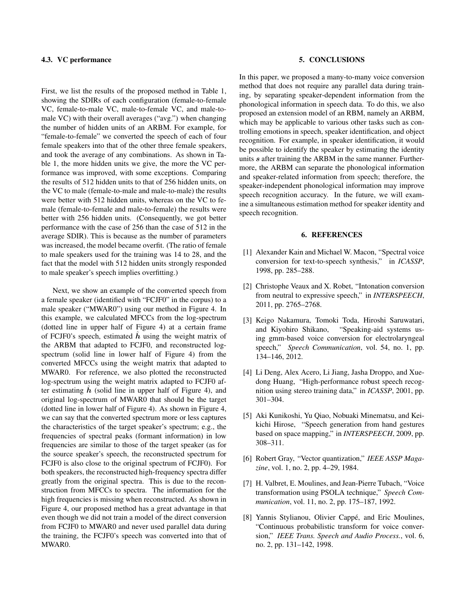## 4.3. VC performance

First, we list the results of the proposed method in Table 1, showing the SDIRs of each configuration (female-to-female VC, female-to-male VC, male-to-female VC, and male-tomale VC) with their overall averages ("avg.") when changing the number of hidden units of an ARBM. For example, for "female-to-female" we converted the speech of each of four female speakers into that of the other three female speakers, and took the average of any combinations. As shown in Table 1, the more hidden units we give, the more the VC performance was improved, with some exceptions. Comparing the results of 512 hidden units to that of 256 hidden units, on the VC to male (female-to-male and male-to-male) the results were better with 512 hidden units, whereas on the VC to female (female-to-female and male-to-female) the results were better with 256 hidden units. (Consequently, we got better performance with the case of 256 than the case of 512 in the average SDIR). This is because as the number of parameters was increased, the model became overfit. (The ratio of female to male speakers used for the training was 14 to 28, and the fact that the model with 512 hidden units strongly responded to male speaker's speech implies overfitting.)

Next, we show an example of the converted speech from a female speaker (identified with "FCJF0" in the corpus) to a male speaker ("MWAR0") using our method in Figure 4. In this example, we calculated MFCCs from the log-spectrum (dotted line in upper half of Figure 4) at a certain frame of FCJF0's speech, estimated  $h$  using the weight matrix of the ARBM that adapted to FCJF0, and reconstructed logspectrum (solid line in lower half of Figure 4) from the converted MFCCs using the weight matrix that adapted to MWAR0. For reference, we also plotted the reconstructed log-spectrum using the weight matrix adapted to FCJF0 after estimating  $h$  (solid line in upper half of Figure 4), and original log-spectrum of MWAR0 that should be the target (dotted line in lower half of Figure 4). As shown in Figure 4, we can say that the converted spectrum more or less captures the characteristics of the target speaker's spectrum; e.g., the frequencies of spectral peaks (formant information) in low frequencies are similar to those of the target speaker (as for the source speaker's speech, the reconstructed spectrum for FCJF0 is also close to the original spectrum of FCJF0). For both speakers, the reconstructed high-frequency spectra differ greatly from the original spectra. This is due to the reconstruction from MFCCs to spectra. The information for the high frequencies is missing when reconstructed. As shown in Figure 4, our proposed method has a great advantage in that even though we did not train a model of the direct conversion from FCJF0 to MWAR0 and never used parallel data during the training, the FCJF0's speech was converted into that of MWAR0.

## 5. CONCLUSIONS

In this paper, we proposed a many-to-many voice conversion method that does not require any parallel data during training, by separating speaker-dependent information from the phonological information in speech data. To do this, we also proposed an extension model of an RBM, namely an ARBM, which may be applicable to various other tasks such as controlling emotions in speech, speaker identification, and object recognition. For example, in speaker identification, it would be possible to identify the speaker by estimating the identity units s after training the ARBM in the same manner. Furthermore, the ARBM can separate the phonological information and speaker-related information from speech; therefore, the speaker-independent phonological information may improve speech recognition accuracy. In the future, we will examine a simultaneous estimation method for speaker identity and speech recognition.

#### 6. REFERENCES

- [1] Alexander Kain and Michael W. Macon, "Spectral voice conversion for text-to-speech synthesis," in *ICASSP*, 1998, pp. 285–288.
- [2] Christophe Veaux and X. Robet, "Intonation conversion from neutral to expressive speech," in *INTERSPEECH*, 2011, pp. 2765–2768.
- [3] Keigo Nakamura, Tomoki Toda, Hiroshi Saruwatari, and Kiyohiro Shikano, "Speaking-aid systems using gmm-based voice conversion for electrolaryngeal speech," *Speech Communication*, vol. 54, no. 1, pp. 134–146, 2012.
- [4] Li Deng, Alex Acero, Li Jiang, Jasha Droppo, and Xuedong Huang, "High-performance robust speech recognition using stereo training data," in *ICASSP*, 2001, pp. 301–304.
- [5] Aki Kunikoshi, Yu Qiao, Nobuaki Minematsu, and Keikichi Hirose, "Speech generation from hand gestures based on space mapping," in *INTERSPEECH*, 2009, pp. 308–311.
- [6] Robert Gray, "Vector quantization," *IEEE ASSP Magazine*, vol. 1, no. 2, pp. 4–29, 1984.
- [7] H. Valbret, E. Moulines, and Jean-Pierre Tubach, "Voice transformation using PSOLA technique," *Speech Communication*, vol. 11, no. 2, pp. 175–187, 1992.
- [8] Yannis Stylianou, Olivier Cappé, and Eric Moulines, "Continuous probabilistic transform for voice conversion," *IEEE Trans. Speech and Audio Process.*, vol. 6, no. 2, pp. 131–142, 1998.